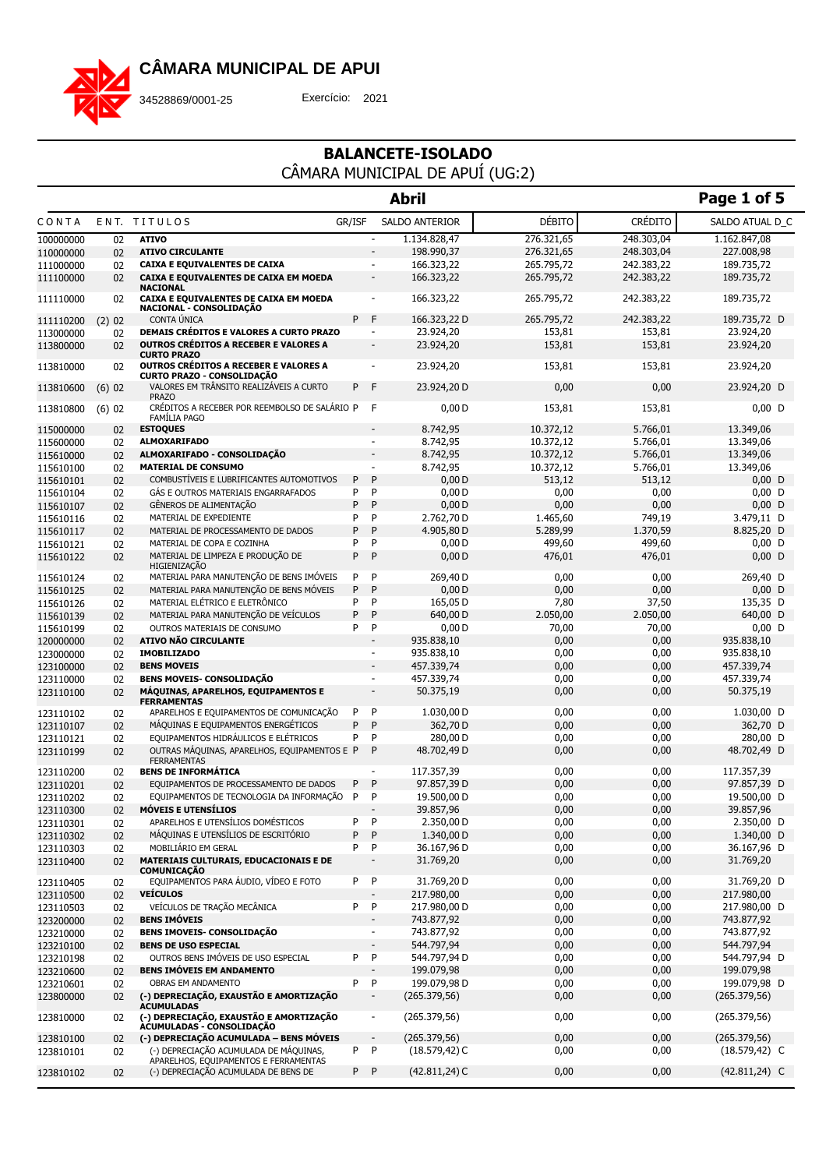

34528869/0001-25 Exercício: 2021

|                        |          |                                                                                               |        |                          | <b>Abril</b>             |               |                | Page 1 of 5              |
|------------------------|----------|-----------------------------------------------------------------------------------------------|--------|--------------------------|--------------------------|---------------|----------------|--------------------------|
| CONTA                  |          | ENT. TITULOS                                                                                  | GR/ISF |                          | SALDO ANTERIOR           | <b>DÉBITO</b> | <b>CRÉDITO</b> | SALDO ATUAL D_C          |
| 100000000              | 02       | <b>ATIVO</b>                                                                                  |        | $\overline{\phantom{a}}$ | 1.134.828,47             | 276.321,65    | 248.303,04     | 1.162.847,08             |
| 110000000              | 02       | <b>ATIVO CIRCULANTE</b>                                                                       |        |                          | 198.990,37               | 276.321,65    | 248.303,04     | 227.008,98               |
| 111000000              | 02       | CAIXA E EQUIVALENTES DE CAIXA                                                                 |        | $\sim$                   | 166.323,22               | 265.795,72    | 242.383,22     | 189.735,72               |
| 111100000              | 02       | CAIXA E EQUIVALENTES DE CAIXA EM MOEDA<br><b>NACIONAL</b>                                     |        | $\overline{\phantom{a}}$ | 166.323,22               | 265.795,72    | 242.383,22     | 189.735,72               |
| 111110000              | 02       | CAIXA E EQUIVALENTES DE CAIXA EM MOEDA<br>NACIONAL - CONSOLIDAÇÃO                             |        | $\blacksquare$           | 166.323,22               | 265.795,72    | 242.383,22     | 189.735,72               |
| 111110200              | $(2)$ 02 | CONTA ÚNICA                                                                                   | P      | F                        | 166.323,22 D             | 265.795,72    | 242.383,22     | 189.735,72 D             |
| 113000000              | 02       | <b>DEMAIS CRÉDITOS E VALORES A CURTO PRAZO</b>                                                |        | $\sim$                   | 23.924,20                | 153,81        | 153,81         | 23.924,20                |
| 113800000              | 02       | <b>OUTROS CRÉDITOS A RECEBER E VALORES A</b><br><b>CURTO PRAZO</b>                            |        | $\overline{\phantom{a}}$ | 23.924,20                | 153,81        | 153,81         | 23.924,20                |
| 113810000              | 02       | OUTROS CRÉDITOS A RECEBER E VALORES A<br><b>CURTO PRAZO - CONSOLIDAÇÃO</b>                    |        |                          | 23.924,20                | 153,81        | 153,81         | 23.924,20                |
| 113810600              | $(6)$ 02 | VALORES EM TRÂNSITO REALIZÁVEIS A CURTO<br><b>PRAZO</b>                                       | P      | $\mathsf{F}$             | 23.924,20 D              | 0,00          | 0,00           | 23.924,20 D              |
| 113810800              | $(6)$ 02 | CRÉDITOS A RECEBER POR REEMBOLSO DE SALÁRIO P<br><b>FAMILIA PAGO</b>                          |        | F                        | 0,00 D                   | 153,81        | 153,81         | $0,00$ D                 |
| 115000000              | 02       | <b>ESTOQUES</b>                                                                               |        | $\overline{\phantom{a}}$ | 8.742,95                 | 10.372,12     | 5.766,01       | 13.349,06                |
| 115600000              | 02       | <b>ALMOXARIFADO</b>                                                                           |        | $\blacksquare$           | 8.742,95                 | 10.372,12     | 5.766,01       | 13.349,06                |
| 115610000              | 02       | ALMOXARIFADO - CONSOLIDAÇÃO                                                                   |        | $\overline{\phantom{a}}$ | 8.742,95                 | 10.372,12     | 5.766,01       | 13.349,06                |
| 115610100              | 02       | <b>MATERIAL DE CONSUMO</b>                                                                    |        | $\mathbf{r}$             | 8.742,95                 | 10.372,12     | 5.766,01       | 13.349,06                |
| 115610101              | 02       | COMBUSTÍVEIS E LUBRIFICANTES AUTOMOTIVOS                                                      | P      | P                        | 0,00 D                   | 513,12        | 513,12         | $0.00$ D                 |
| 115610104              | 02       | GÁS E OUTROS MATERIAIS ENGARRAFADOS                                                           | P      | P                        | 0,00D                    | 0,00          | 0,00           | $0,00$ D                 |
| 115610107              | 02       | GÊNEROS DE ALIMENTAÇÃO                                                                        | P      | P                        | 0,00D                    | 0,00          | 0,00           | $0,00$ D                 |
| 115610116              | 02       | MATERIAL DE EXPEDIENTE                                                                        | P      | P                        | 2.762,70 D               | 1.465,60      | 749,19         | 3.479,11 D               |
| 115610117              | 02       | MATERIAL DE PROCESSAMENTO DE DADOS                                                            | P      | P<br>P                   | 4.905,80 D               | 5.289,99      | 1.370,59       | 8.825,20 D               |
| 115610121              | 02       | MATERIAL DE COPA E COZINHA                                                                    | P<br>P | P                        | 0,00 D                   | 499,60        | 499,60         | $0,00$ D                 |
| 115610122              | 02       | MATERIAL DE LIMPEZA E PRODUÇÃO DE<br>HIGIENIZAÇÃO<br>MATERIAL PARA MANUTENÇÃO DE BENS IMÓVEIS | P      |                          | 0,00D                    | 476,01        | 476,01         | $0,00$ D                 |
| 115610124<br>115610125 | 02       | MATERIAL PARA MANUTENÇÃO DE BENS MÓVEIS                                                       | P      | P<br>P                   | 269,40 D<br>0,00D        | 0,00<br>0,00  | 0,00<br>0,00   | 269,40 D<br>$0,00$ D     |
| 115610126              | 02<br>02 | MATERIAL ELÉTRICO E ELETRÔNICO                                                                | P      | P                        | 165,05 D                 | 7,80          | 37,50          | 135,35 D                 |
| 115610139              | 02       | MATERIAL PARA MANUTENÇÃO DE VEÍCULOS                                                          | P      | P                        | 640,00 D                 | 2.050,00      | 2.050,00       | 640,00 D                 |
| 115610199              | 02       | OUTROS MATERIAIS DE CONSUMO                                                                   | P      | P                        | 0,00 D                   | 70,00         | 70,00          | $0,00$ D                 |
| 120000000              | 02       | <b>ATIVO NÃO CIRCULANTE</b>                                                                   |        | $\frac{1}{2}$            | 935.838,10               | 0,00          | 0,00           | 935.838,10               |
| 123000000              | 02       | <b>IMOBILIZADO</b>                                                                            |        | $\blacksquare$           | 935.838,10               | 0,00          | 0,00           | 935.838,10               |
| 123100000              | 02       | <b>BENS MOVEIS</b>                                                                            |        | $\blacksquare$           | 457.339,74               | 0,00          | 0,00           | 457.339,74               |
| 123110000              | 02       | <b>BENS MOVEIS- CONSOLIDAÇÃO</b>                                                              |        | $\overline{\phantom{a}}$ | 457.339,74               | 0,00          | 0,00           | 457.339,74               |
| 123110100              | 02       | MÁQUINAS, APARELHOS, EQUIPAMENTOS E<br><b>FERRAMENTAS</b>                                     |        | $\overline{\phantom{a}}$ | 50.375,19                | 0,00          | 0,00           | 50.375,19                |
| 123110102              | 02       | APARELHOS E EQUIPAMENTOS DE COMUNICAÇÃO                                                       | P      | P                        | 1.030,00 D               | 0,00          | 0,00           | 1.030,00 D               |
| 123110107              | 02       | MÁQUINAS E EQUIPAMENTOS ENERGÉTICOS                                                           | P      | P                        | 362,70 D                 | 0,00          | 0,00           | 362,70 D                 |
| 123110121              | 02       | EQUIPAMENTOS HIDRÁULICOS E ELÉTRICOS                                                          | P      | P                        | 280,00 D                 | 0,00          | 0,00           | 280,00 D                 |
| 123110199              | 02       | OUTRAS MÁQUINAS, APARELHOS, EQUIPAMENTOS E P<br><b>FERRAMENTAS</b>                            |        | P                        | 48.702,49 D              | 0,00          | 0,00           | 48.702,49 D              |
| 123110200              | 02       | <b>BENS DE INFORMÁTICA</b>                                                                    |        | ä,                       | 117.357,39               | 0,00          | 0,00           | 117.357,39               |
| 123110201              | 02       | EQUIPAMENTOS DE PROCESSAMENTO DE DADOS                                                        | P      | P                        | 97.857,39 D              | 0,00          | 0,00           | 97.857,39 D              |
| 123110202              | 02       | EQUIPAMENTOS DE TECNOLOGIA DA INFORMAÇÃO                                                      | P      | P                        | 19.500,00 D              | 0,00          | 0,00           | 19.500,00 D              |
| 123110300              | 02       | <b>MÓVEIS E UTENSÍLIOS</b>                                                                    |        | $\overline{a}$           | 39.857,96                | 0,00          | 0,00           | 39.857,96                |
| 123110301              | 02       | APARELHOS E UTENSÍLIOS DOMÉSTICOS<br>MÁQUINAS E UTENSÍLIOS DE ESCRITÓRIO                      | P<br>P | P<br>P                   | 2.350,00 D<br>1.340,00 D | 0,00<br>0,00  | 0,00           | 2.350,00 D<br>1.340,00 D |
| 123110302              | 02       | MOBILIÁRIO EM GERAL                                                                           | P      | P                        | 36.167,96 D              | 0,00          | 0,00<br>0,00   | 36.167,96 D              |
| 123110303<br>123110400 | 02<br>02 | MATERIAIS CULTURAIS, EDUCACIONAIS E DE<br>COMUNICAÇÃO                                         |        | $\frac{1}{2}$            | 31.769,20                | 0,00          | 0,00           | 31.769,20                |
| 123110405              | 02       | EQUIPAMENTOS PARA ÁUDIO, VÍDEO E FOTO                                                         | P      | P                        | 31.769,20 D              | 0,00          | 0,00           | 31,769,20 D              |
| 123110500              | 02       | <b>VEÍCULOS</b>                                                                               |        | $\overline{a}$           | 217.980,00               | 0,00          | 0,00           | 217.980,00               |
| 123110503              | 02       | VEÍCULOS DE TRAÇÃO MECÂNICA                                                                   | P      | P                        | 217.980,00 D             | 0,00          | 0,00           | 217.980,00 D             |
| 123200000              | 02       | <b>BENS IMÓVEIS</b>                                                                           |        | $\blacksquare$           | 743.877,92               | 0,00          | 0,00           | 743.877,92               |
| 123210000              | 02       | BENS IMOVEIS- CONSOLIDAÇÃO                                                                    |        | $\overline{\phantom{a}}$ | 743.877,92               | 0,00          | 0,00           | 743.877,92               |
| 123210100              | 02       | <b>BENS DE USO ESPECIAL</b>                                                                   |        | $\overline{\phantom{a}}$ | 544.797,94               | 0,00          | 0,00           | 544.797,94               |
| 123210198              | 02       | OUTROS BENS IMÓVEIS DE USO ESPECIAL                                                           | P      | P                        | 544.797,94 D             | 0,00          | 0,00           | 544.797,94 D             |
| 123210600              | 02       | <b>BENS IMÓVEIS EM ANDAMENTO</b>                                                              |        | $\overline{\phantom{a}}$ | 199.079,98               | 0,00          | 0,00           | 199.079,98               |
| 123210601              | 02       | OBRAS EM ANDAMENTO                                                                            | P      | P                        | 199.079,98 D             | 0,00          | 0,00           | 199.079,98 D             |
| 123800000              | 02       | (-) DEPRECIAÇÃO, EXAUSTÃO E AMORTIZAÇÃO<br><b>ACUMULADAS</b>                                  |        | $\overline{\phantom{a}}$ | (265.379,56)             | 0,00          | 0,00           | (265.379,56)             |
| 123810000              | 02       | (-) DEPRECIAÇÃO, EXAUSTÃO E AMORTIZAÇÃO<br>ACUMULADAS - CONSOLIDAÇÃO                          |        | $\overline{\phantom{a}}$ | (265.379,56)             | 0,00          | 0,00           | (265.379,56)             |
| 123810100              | 02       | (-) DEPRECIAÇÃO ACUMULADA - BENS MÓVEIS                                                       |        | $\overline{\phantom{a}}$ | (265.379,56)             | 0,00          | 0,00           | (265.379,56)             |
| 123810101              | 02       | (-) DEPRECIAÇÃO ACUMULADA DE MÁQUINAS,<br>APARELHOS, EQUIPAMENTOS E FERRAMENTAS               | P.     | P                        | $(18.579, 42)$ C         | 0,00          | 0,00           | $(18.579, 42)$ C         |
| 123810102              | 02       | (-) DEPRECIAÇÃO ACUMULADA DE BENS DE                                                          | P P    |                          | $(42.811, 24)$ C         | 0,00          | 0,00           | $(42.811, 24)$ C         |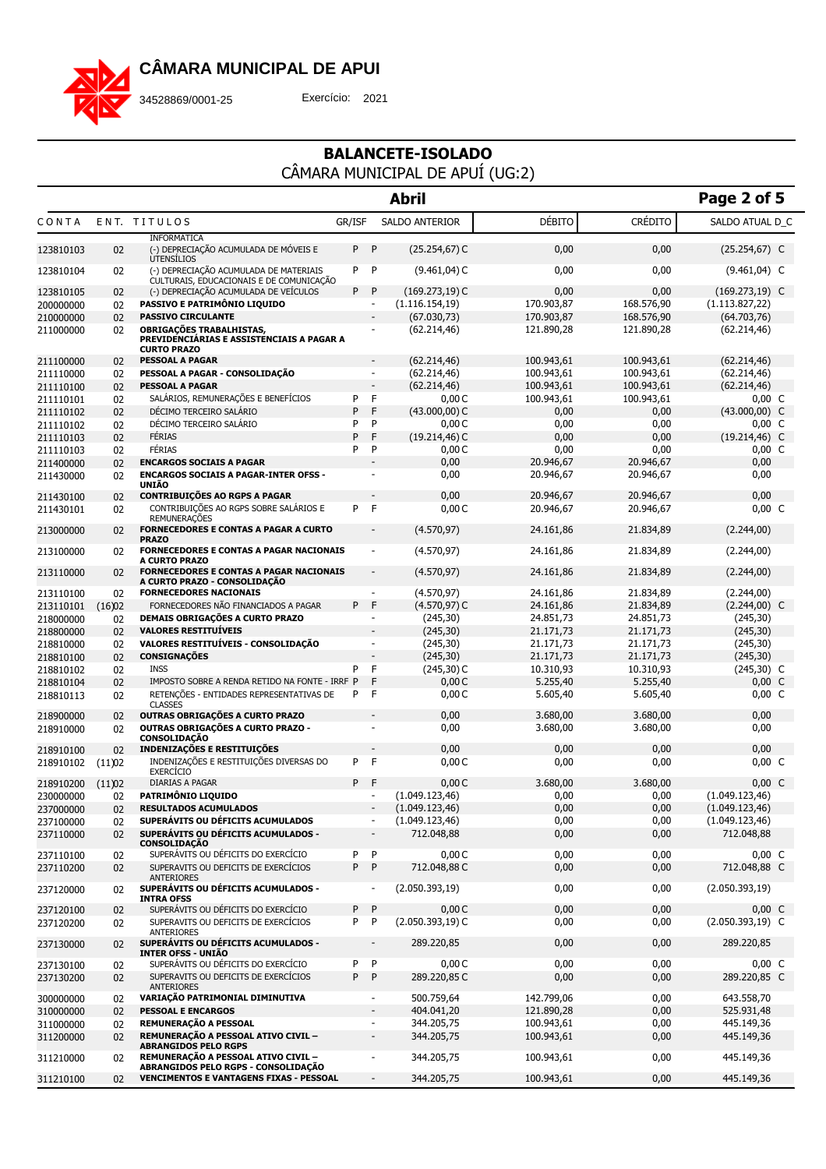

34528869/0001-25 Exercício: 2021

|                        |              |                                                                                                    |        |                              | <b>Abril</b>        |                        |                        | Page 2 of 5         |
|------------------------|--------------|----------------------------------------------------------------------------------------------------|--------|------------------------------|---------------------|------------------------|------------------------|---------------------|
| CONTA                  |              | ENT. TITULOS                                                                                       | GR/ISF |                              | SALDO ANTERIOR      | DÉBITO                 | <b>CRÉDITO</b>         | SALDO ATUAL D_C     |
| 123810103              | 02           | <b>INFORMÁTICA</b><br>(-) DEPRECIAÇÃO ACUMULADA DE MÓVEIS E<br><b>UTENSÍLIOS</b>                   | P      | P                            | $(25.254, 67)$ C    | 0,00                   | 0,00                   | $(25.254, 67)$ C    |
| 123810104              | 02           | (-) DEPRECIAÇÃO ACUMULADA DE MATERIAIS<br>CULTURAIS, EDUCACIONAIS E DE COMUNICAÇÃO                 | P      | P                            | $(9.461, 04)$ C     | 0,00                   | 0,00                   | $(9.461, 04)$ C     |
| 123810105              | 02           | (-) DEPRECIAÇÃO ACUMULADA DE VEÍCULOS                                                              | P      | P                            | $(169.273, 19)$ C   | 0,00                   | 0,00                   | $(169.273, 19)$ C   |
| 200000000              | 02           | PASSIVO E PATRIMÔNIO LIQUIDO                                                                       |        | ٠                            | (1.116.154, 19)     | 170.903,87             | 168.576,90             | (1.113.827, 22)     |
| 210000000              | 02           | <b>PASSIVO CIRCULANTE</b>                                                                          |        | ٠                            | (67.030, 73)        | 170.903,87             | 168.576,90             | (64.703,76)         |
| 211000000              | 02           | <b>OBRIGAÇÕES TRABALHISTAS,</b><br>PREVIDENCIÁRIAS E ASSISTENCIAIS A PAGAR A<br><b>CURTO PRAZO</b> |        | ٠                            | (62.214, 46)        | 121.890,28             | 121.890,28             | (62.214, 46)        |
| 211100000              | 02           | <b>PESSOAL A PAGAR</b>                                                                             |        | $\overline{\phantom{a}}$     | (62.214, 46)        | 100.943.61             | 100.943,61             | (62.214, 46)        |
| 211110000              | 02           | PESSOAL A PAGAR - CONSOLIDAÇÃO                                                                     |        | $\overline{\phantom{a}}$     | (62.214, 46)        | 100.943,61             | 100.943,61             | (62.214, 46)        |
| 211110100              | 02           | <b>PESSOAL A PAGAR</b>                                                                             |        | $\blacksquare$               | (62.214, 46)        | 100.943,61             | 100.943,61             | (62.214, 46)        |
| 211110101              | 02           | SALÁRIOS, REMUNERAÇÕES E BENEFÍCIOS                                                                | P      | F                            | 0,00C               | 100.943,61             | 100.943,61             | $0,00\,C$           |
| 211110102              | 02           | DÉCIMO TERCEIRO SALÁRIO                                                                            | P      | F                            | $(43.000,00)$ C     | 0,00                   | 0,00                   | $(43.000,00)$ C     |
| 211110102              | 02           | DÉCIMO TERCEIRO SALÁRIO                                                                            | P      | P                            | 0,00C               | 0,00                   | 0,00                   | $0,00\,C$           |
| 211110103              | 02           | FÉRIAS                                                                                             | P      | F                            | $(19.214, 46)$ C    | 0,00                   | 0,00                   | $(19.214, 46)$ C    |
| 211110103              | 02           | FÉRIAS                                                                                             | P      | P                            | 0,00C               | 0,00                   | 0,00                   | $0,00\,C$           |
| 211400000<br>211430000 | 02<br>02     | <b>ENCARGOS SOCIAIS A PAGAR</b><br><b>ENCARGOS SOCIAIS A PAGAR-INTER OFSS -</b><br>UNIÃO           |        | ٠<br>ä,                      | 0,00<br>0,00        | 20.946.67<br>20.946,67 | 20.946.67<br>20.946,67 | 0,00<br>0,00        |
| 211430100              | 02           | <b>CONTRIBUIÇÕES AO RGPS A PAGAR</b>                                                               |        |                              | 0,00                | 20.946.67              | 20.946,67              | 0,00                |
| 211430101              | 02           | CONTRIBUICÕES AO RGPS SOBRE SALÁRIOS E<br><b>REMUNERAÇÕES</b>                                      | P      | F                            | 0,00C               | 20.946,67              | 20.946,67              | $0,00\,C$           |
| 213000000              | 02           | <b>FORNECEDORES E CONTAS A PAGAR A CURTO</b><br><b>PRAZO</b>                                       |        | $\overline{\phantom{a}}$     | (4.570, 97)         | 24.161,86              | 21.834,89              | (2.244,00)          |
| 213100000              | 02           | <b>FORNECEDORES E CONTAS A PAGAR NACIONAIS</b><br><b>A CURTO PRAZO</b>                             |        | $\overline{\phantom{a}}$     | (4.570, 97)         | 24.161,86              | 21.834,89              | (2.244,00)          |
| 213110000              | 02           | <b>FORNECEDORES E CONTAS A PAGAR NACIONAIS</b><br>A CURTO PRAZO - CONSOLIDACÃO                     |        | $\overline{\phantom{a}}$     | (4.570, 97)         | 24.161,86              | 21.834,89              | (2.244,00)          |
| 213110100              | 02           | <b>FORNECEDORES NACIONAIS</b>                                                                      |        | $\overline{\phantom{a}}$     | (4.570, 97)         | 24.161,86              | 21.834,89              | (2.244,00)          |
| 213110101              | (16)02       | FORNECEDORES NÃO FINANCIADOS A PAGAR                                                               | P      | F                            | $(4.570, 97)$ C     | 24.161,86              | 21.834,89              | $(2.244,00)$ C      |
| 218000000              | 02           | <b>DEMAIS OBRIGAÇÕES A CURTO PRAZO</b>                                                             |        | ٠                            | (245, 30)           | 24.851,73              | 24.851,73              | (245, 30)           |
| 218800000              | 02           | <b>VALORES RESTITUÍVEIS</b>                                                                        |        |                              | (245, 30)           | 21.171,73              | 21.171,73              | (245, 30)           |
| 218810000              | 02           | VALORES RESTITUÍVEIS - CONSOLIDAÇÃO                                                                |        | ٠                            | (245, 30)           | 21.171,73              | 21.171,73              | (245, 30)           |
| 218810100              | 02           | <b>CONSIGNAÇÕES</b>                                                                                |        | $\overline{\phantom{a}}$     | (245, 30)           | 21.171,73              | 21.171,73              | (245, 30)           |
| 218810102              | 02           | <b>INSS</b>                                                                                        | P      | F                            | $(245,30)$ C        | 10.310,93              | 10.310,93              | $(245,30)$ C        |
| 218810104              | 02           | IMPOSTO SOBRE A RENDA RETIDO NA FONTE - IRRF P                                                     |        | F<br>F                       | 0,00C               | 5.255,40               | 5.255,40               | $0,00\,C$           |
| 218810113<br>218900000 | 02<br>02     | RETENÇÕES - ENTIDADES REPRESENTATIVAS DE<br><b>CLASSES</b><br>OUTRAS OBRIGAÇÕES A CURTO PRAZO      | P      |                              | 0,00C<br>0,00       | 5.605,40<br>3.680,00   | 5.605,40<br>3.680,00   | $0,00\,C$<br>0,00   |
| 218910000              | 02           | OUTRAS OBRIGAÇÕES A CURTO PRAZO -                                                                  |        | ä,                           | 0,00                | 3.680,00               | 3.680,00               | 0,00                |
| 218910100              | 02           | <b>CONSOLIDAÇÃO</b><br><b>INDENIZAÇÕES E RESTITUIÇÕES</b>                                          |        |                              | 0,00                | 0,00                   | 0,00                   | 0,00                |
| 218910102              | (11)02       | INDENIZAÇÕES E RESTITUIÇÕES DIVERSAS DO                                                            | P      | F                            | 0,00C               | 0,00                   | 0,00                   | $0,00\,C$           |
| 218910200              |              | <b>EXERCÍCIO</b><br>DIARIAS A PAGAR                                                                | P      | F                            | 0,00C               | 3.680,00               | 3.680,00               | $0,00\,C$           |
| 230000000              | (11)02<br>02 | <b>PATRIMÔNIO LIQUIDO</b>                                                                          |        | $\overline{\phantom{a}}$     | (1.049.123, 46)     | 0,00                   | 0,00                   | (1.049.123, 46)     |
| 237000000              | 02           | <b>RESULTADOS ACUMULADOS</b>                                                                       |        | ٠                            | (1.049.123, 46)     | 0,00                   | 0,00                   | (1.049.123, 46)     |
| 237100000              | 02           | SUPERÁVITS OU DÉFICITS ACUMULADOS                                                                  |        | $\qquad \qquad \blacksquare$ | (1.049.123, 46)     | 0,00                   | 0,00                   | (1.049.123, 46)     |
| 237110000              | 02           | SUPERÁVITS OU DÉFICITS ACUMULADOS -                                                                |        | $\qquad \qquad \blacksquare$ | 712.048,88          | 0,00                   | 0,00                   | 712.048,88          |
|                        |              | <b>CONSOLIDAÇÃO</b><br>SUPERÁVITS OU DÉFICITS DO EXERCÍCIO                                         | P      | P                            | 0,00C               | 0,00                   | 0,00                   | $0,00\,C$           |
| 237110100<br>237110200 | 02<br>02     | SUPERAVITS OU DEFICITS DE EXERCÍCIOS<br><b>ANTERIORES</b>                                          | P.     | $\mathsf{P}$                 | 712.048,88 C        | 0,00                   | 0,00                   | 712.048,88 C        |
| 237120000              | 02           | SUPERÁVITS OU DÉFICITS ACUMULADOS -<br><b>INTRA OFSS</b>                                           |        | $\overline{\phantom{a}}$     | (2.050.393,19)      | 0,00                   | 0,00                   | (2.050.393,19)      |
| 237120100              | 02           | SUPERÁVITS OU DÉFICITS DO EXERCÍCIO                                                                | P      | P                            | 0,00C               | 0,00                   | 0,00                   | $0,00\,C$           |
| 237120200              | 02           | SUPERAVITS OU DEFICITS DE EXERCÍCIOS<br><b>ANTERIORES</b>                                          | P      | P                            | $(2.050.393, 19)$ C | 0,00                   | 0,00                   | $(2.050.393, 19)$ C |
| 237130000              | 02           | SUPERÁVITS OU DÉFICITS ACUMULADOS -<br><b>INTER OFSS - UNIÃO</b>                                   |        | $\overline{\phantom{a}}$     | 289.220,85          | 0,00                   | 0,00                   | 289.220,85          |
| 237130100              | 02           | SUPERÁVITS OU DÉFICITS DO EXERCÍCIO                                                                | P      | P                            | 0,00C               | 0,00                   | 0,00                   | $0,00\,C$           |
| 237130200              | 02           | SUPERAVITS OU DEFICITS DE EXERCÍCIOS<br><b>ANTERIORES</b>                                          | P P    |                              | 289.220,85 C        | 0,00                   | 0,00                   | 289.220,85 C        |
| 300000000              | 02           | VARIAÇÃO PATRIMONIAL DIMINUTIVA                                                                    |        | $\overline{\phantom{a}}$     | 500.759,64          | 142.799,06             | 0,00                   | 643.558,70          |
| 310000000              | 02           | <b>PESSOAL E ENCARGOS</b>                                                                          |        | $\overline{\phantom{a}}$     | 404.041,20          | 121.890,28             | 0,00                   | 525.931,48          |
| 311000000              | 02           | REMUNERAÇÃO A PESSOAL                                                                              |        | $\overline{\phantom{a}}$     | 344.205,75          | 100.943,61             | 0,00                   | 445.149,36          |
| 311200000              | 02           | REMUNERAÇÃO A PESSOAL ATIVO CIVIL -<br><b>ABRANGIDOS PELO RGPS</b>                                 |        | $\overline{\phantom{a}}$     | 344.205,75          | 100.943,61             | 0,00                   | 445.149,36          |
| 311210000              | 02           | REMUNERAÇÃO A PESSOAL ATIVO CIVIL -<br>ABRANGIDOS PELO RGPS - CONSOLIDAÇÃO                         |        | $\overline{\phantom{a}}$     | 344.205,75          | 100.943,61             | 0,00                   | 445.149,36          |
| 311210100              | 02           | <b>VENCIMENTOS E VANTAGENS FIXAS - PESSOAL</b>                                                     |        | $\overline{\phantom{a}}$     | 344.205,75          | 100.943,61             | 0,00                   | 445.149,36          |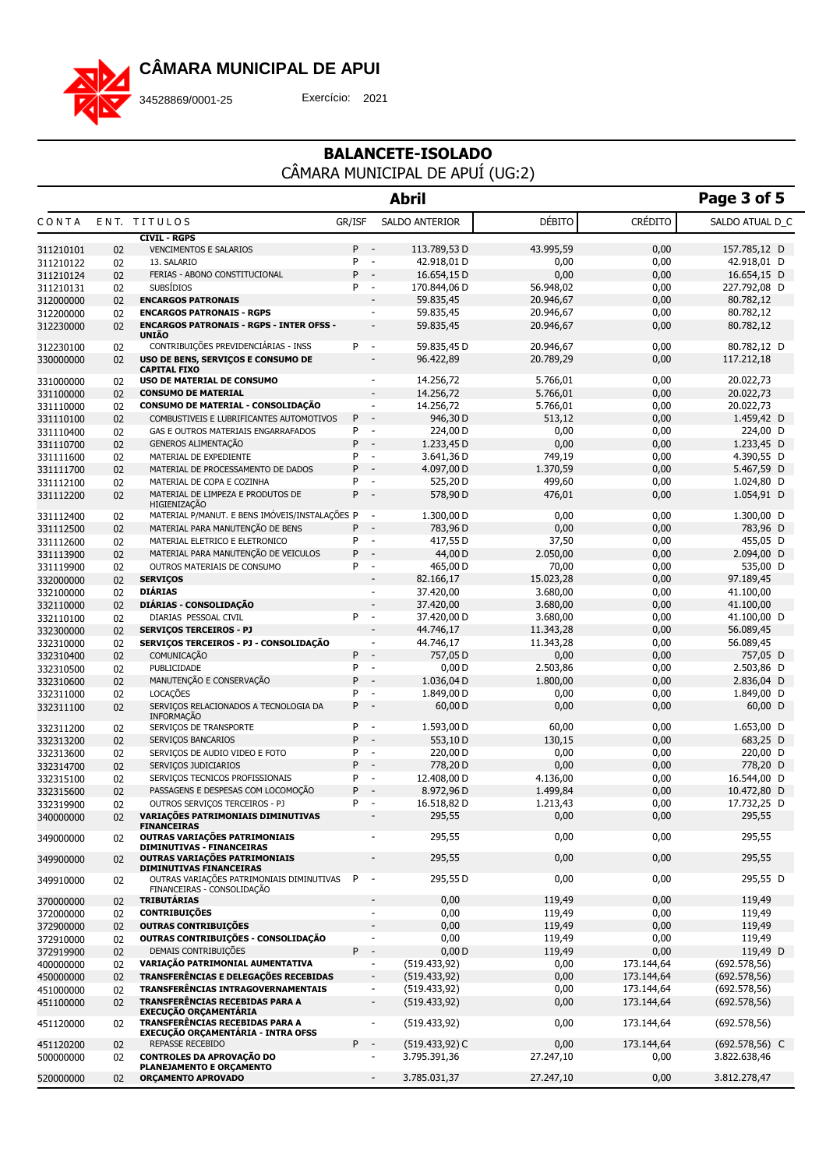

### 34528869/0001-25 Exercício: 2021

|                        |          |                                                                              |                  | <b>Abril</b>                                                      |                       |                | Page 3 of 5                 |
|------------------------|----------|------------------------------------------------------------------------------|------------------|-------------------------------------------------------------------|-----------------------|----------------|-----------------------------|
| CONTA                  |          | ENT. TITULOS                                                                 | GR/ISF           | SALDO ANTERIOR                                                    | DÉBITO                | <b>CRÉDITO</b> | SALDO ATUAL D_C             |
|                        |          | <b>CIVIL - RGPS</b>                                                          |                  |                                                                   |                       |                |                             |
| 311210101              | 02       | <b>VENCIMENTOS E SALARIOS</b>                                                | P                | 113.789,53 D<br>$\overline{\phantom{a}}$                          | 43.995,59             | 0,00           | 157.785,12 D                |
| 311210122              | 02       | 13. SALARIO                                                                  | P<br>$\sim$<br>P | 42.918,01 D<br>$\overline{\phantom{a}}$                           | 0,00                  | 0,00           | 42.918,01 D                 |
| 311210124              | 02       | FERIAS - ABONO CONSTITUCIONAL<br><b>SUBSÍDIOS</b>                            | P -              | 16.654,15 D<br>170.844,06 D                                       | 0,00<br>56.948,02     | 0,00<br>0,00   | 16.654,15 D<br>227.792,08 D |
| 311210131<br>312000000 | 02<br>02 | <b>ENCARGOS PATRONAIS</b>                                                    |                  | 59.835,45                                                         | 20.946,67             | 0,00           | 80.782,12                   |
| 312200000              | 02       | <b>ENCARGOS PATRONAIS - RGPS</b>                                             |                  | 59.835,45<br>$\overline{\phantom{a}}$                             | 20.946,67             | 0,00           | 80.782,12                   |
| 312230000              | 02       | <b>ENCARGOS PATRONAIS - RGPS - INTER OFSS -</b>                              |                  | 59.835,45<br>$\overline{\phantom{a}}$                             | 20.946,67             | 0,00           | 80.782,12                   |
|                        |          | <b>UNIÃO</b>                                                                 |                  |                                                                   |                       |                |                             |
| 312230100              | 02       | CONTRIBUIÇÕES PREVIDENCIÁRIAS - INSS                                         | P<br>$\sim$      | 59.835,45 D                                                       | 20.946,67             | 0,00           | 80.782,12 D                 |
| 330000000              | 02       | USO DE BENS, SERVIÇOS E CONSUMO DE<br><b>CAPITAL FIXO</b>                    |                  | 96.422,89<br>$\overline{\phantom{a}}$                             | 20.789,29             | 0,00           | 117.212,18                  |
| 331000000              | 02       | USO DE MATERIAL DE CONSUMO                                                   |                  | 14.256,72<br>$\overline{\phantom{a}}$                             | 5.766,01              | 0,00           | 20.022,73                   |
| 331100000              | 02       | <b>CONSUMO DE MATERIAL</b>                                                   |                  | 14.256,72                                                         | 5.766,01              | 0,00           | 20.022,73                   |
| 331110000              | 02       | CONSUMO DE MATERIAL - CONSOLIDAÇÃO                                           |                  | 14.256,72<br>$\overline{\phantom{a}}$                             | 5.766,01              | 0,00           | 20.022,73                   |
| 331110100              | 02       | COMBUSTIVEIS E LUBRIFICANTES AUTOMOTIVOS                                     | P                | $\sim$<br>946,30 D                                                | 513,12                | 0,00           | 1.459,42 D                  |
| 331110400              | 02       | GAS E OUTROS MATERIAIS ENGARRAFADOS                                          | P                | 224,00 D<br>$\overline{\phantom{a}}$                              | 0,00                  | 0,00           | 224,00 D                    |
| 331110700              | 02       | GENEROS ALIMENTAÇÃO                                                          | P                | 1.233,45 D<br>$\sim$                                              | 0,00                  | 0,00           | 1.233,45 D                  |
| 331111600              | 02       | MATERIAL DE EXPEDIENTE                                                       | P                | 3.641,36 D<br>$\overline{\phantom{a}}$                            | 749,19                | 0,00           | 4.390,55 D                  |
| 331111700              | 02       | MATERIAL DE PROCESSAMENTO DE DADOS                                           | P                | 4.097,00 D<br>$\overline{a}$                                      | 1.370,59              | 0,00           | 5.467,59 D                  |
| 331112100              | 02       | MATERIAL DE COPA E COZINHA                                                   | P                | 525,20 D<br>$\overline{\phantom{a}}$                              | 499,60                | 0,00           | 1.024,80 D                  |
| 331112200              | 02       | MATERIAL DE LIMPEZA E PRODUTOS DE<br>HIGIENIZAÇÃO                            | P                | 578,90 D<br>$\overline{\phantom{a}}$                              | 476,01                | 0,00           | 1.054,91 D                  |
| 331112400              | 02       | MATERIAL P/MANUT. E BENS IMÓVEIS/INSTALAÇÕES P                               |                  | 1.300,00 D<br>$\overline{\phantom{a}}$                            | 0,00                  | 0,00           | 1.300,00 D                  |
| 331112500              | 02       | MATERIAL PARA MANUTENÇÃO DE BENS                                             | P                | 783,96 D<br>$\overline{\phantom{a}}$                              | 0,00                  | 0,00           | 783,96 D                    |
| 331112600              | 02       | MATERIAL ELETRICO E ELETRONICO                                               | P                | 417,55 D<br>$\overline{\phantom{a}}$                              | 37,50                 | 0,00           | 455,05 D                    |
| 331113900              | 02       | MATERIAL PARA MANUTENÇÃO DE VEICULOS                                         | P                | 44,00 D<br>$\overline{\phantom{a}}$                               | 2.050,00              | 0,00           | 2.094,00 D                  |
| 331119900              | 02       | OUTROS MATERIAIS DE CONSUMO                                                  | P                | $\sim$<br>465,00 D                                                | 70,00                 | 0,00           | 535,00 D                    |
| 332000000              | 02       | <b>SERVIÇOS</b><br><b>DIÁRIAS</b>                                            |                  | 82.166,17<br>$\overline{\phantom{a}}$<br>$\overline{\phantom{a}}$ | 15.023,28<br>3.680,00 | 0,00<br>0,00   | 97.189,45<br>41.100,00      |
| 332100000              | 02       | DIÁRIAS - CONSOLIDAÇÃO                                                       |                  | 37.420,00<br>37.420,00<br>$\overline{\phantom{a}}$                | 3.680,00              | 0,00           | 41.100,00                   |
| 332110000<br>332110100 | 02<br>02 | DIARIAS PESSOAL CIVIL                                                        | P                | $\sim$<br>37.420,00 D                                             | 3.680,00              | 0,00           | 41.100,00 D                 |
| 332300000              | 02       | <b>SERVIÇOS TERCEIROS - PJ</b>                                               |                  | 44.746,17<br>$\overline{\phantom{a}}$                             | 11.343,28             | 0,00           | 56.089,45                   |
| 332310000              | 02       | SERVIÇOS TERCEIROS - PJ - CONSOLIDAÇÃO                                       |                  | 44.746,17<br>$\overline{\phantom{a}}$                             | 11.343,28             | 0,00           | 56.089,45                   |
| 332310400              | 02       | COMUNICAÇÃO                                                                  | $P -$            | 757,05 D                                                          | 0,00                  | 0,00           | 757,05 D                    |
| 332310500              | 02       | PUBLICIDADE                                                                  | P                | 0,00D<br>$\overline{\phantom{a}}$                                 | 2.503,86              | 0,00           | 2.503,86 D                  |
| 332310600              | 02       | MANUTENÇÃO E CONSERVAÇÃO                                                     | P                | 1.036,04 D<br>$\sim$                                              | 1.800,00              | 0,00           | 2.836,04 D                  |
| 332311000              | 02       | LOCAÇÕES                                                                     | P                | 1.849,00 D<br>$\overline{\phantom{a}}$                            | 0,00                  | 0,00           | 1.849,00 D                  |
| 332311100              | 02       | SERVIÇOS RELACIONADOS A TECNOLOGIA DA<br><b>INFORMAÇÃO</b>                   | P                | 60,00 D<br>$\sim$                                                 | 0,00                  | 0,00           | $60,00$ D                   |
| 332311200              | 02       | SERVIÇOS DE TRANSPORTE                                                       | P                | 1.593,00 D<br>$\overline{\phantom{a}}$                            | 60,00                 | 0,00           | 1.653,00 D                  |
| 332313200              | 02       | SERVIÇOS BANCARIOS                                                           | P                | $\sim$<br>553,10 D                                                | 130,15                | 0,00           | 683,25 D                    |
| 332313600              | 02       | SERVIÇOS DE AUDIO VIDEO E FOTO                                               | P                | 220,00 D<br>$\overline{\phantom{a}}$                              | 0,00                  | 0,00           | 220,00 D                    |
| 332314700              | 02       | SERVIÇOS JUDICIARIOS                                                         | P                | 778,20 D                                                          | 0,00                  | 0,00           | 778,20 D                    |
| 332315100              | 02       | SERVIÇOS TECNICOS PROFISSIONAIS                                              | P                | 12.408,00 D<br>$\overline{\phantom{a}}$                           | 4.136,00              | 0,00           | 16.544,00 D                 |
| 332315600              | 02       | PASSAGENS E DESPESAS COM LOCOMOÇÃO                                           | P                | 8.972,96 D                                                        | 1.499,84              | 0,00           | 10.472,80 D                 |
| 332319900              | 02       | OUTROS SERVIÇOS TERCEIROS - PJ                                               | P -              | 16.518,82 D                                                       | 1.213,43              | 0,00           | 17.732,25 D                 |
| 340000000              | 02       | VARIAÇÕES PATRIMONIAIS DIMINUTIVAS<br><b>FINANCEIRAS</b>                     |                  | 295,55                                                            | 0,00                  | 0,00           | 295,55                      |
| 349000000              | 02       | OUTRAS VARIAÇÕES PATRIMONIAIS<br>DIMINUTIVAS - FINANCEIRAS                   |                  | 295,55                                                            | 0,00                  | 0,00           | 295,55                      |
| 349900000              | 02       | OUTRAS VARIAÇÕES PATRIMONIAIS<br>DIMINUTIVAS FINANCEIRAS                     |                  | 295,55<br>$\overline{\phantom{a}}$                                | 0,00                  | 0,00           | 295,55                      |
| 349910000              | 02       | OUTRAS VARIAÇÕES PATRIMONIAIS DIMINUTIVAS<br>FINANCEIRAS - CONSOLIDAÇÃO      | P                | 295,55D<br>$\overline{\phantom{a}}$                               | 0,00                  | 0,00           | 295,55 D                    |
| 370000000              | 02       | <b>TRIBUTÁRIAS</b>                                                           |                  | 0,00<br>$\overline{\phantom{a}}$                                  | 119,49                | 0,00           | 119,49                      |
| 372000000              | 02       | <b>CONTRIBUIÇÕES</b>                                                         |                  | 0,00<br>$\overline{\phantom{a}}$                                  | 119,49                | 0,00           | 119,49                      |
| 372900000              | 02       | OUTRAS CONTRIBUIÇÕES                                                         |                  | 0,00                                                              | 119,49                | 0,00           | 119,49                      |
| 372910000              | 02       | OUTRAS CONTRIBUIÇÕES - CONSOLIDAÇÃO                                          |                  | 0,00<br>$\overline{\phantom{a}}$                                  | 119,49                | 0,00           | 119,49                      |
| 372919900              | 02       | DEMAIS CONTRIBUIÇÕES                                                         | P                | 0,00D<br>$\overline{\phantom{a}}$                                 | 119,49                | 0,00           | 119,49 D                    |
| 400000000              | 02       | VARIAÇÃO PATRIMONIAL AUMENTATIVA                                             |                  | (519.433, 92)<br>$\overline{\phantom{a}}$                         | 0,00                  | 173.144,64     | (692.578, 56)               |
| 450000000              | 02       | TRANSFERÊNCIAS E DELEGAÇÕES RECEBIDAS                                        |                  | (519.433, 92)                                                     | 0,00                  | 173.144,64     | (692.578, 56)               |
| 451000000              | 02       | TRANSFERÊNCIAS INTRAGOVERNAMENTAIS                                           |                  | (519.433, 92)<br>$\overline{\phantom{a}}$                         | 0,00                  | 173.144,64     | (692.578, 56)               |
| 451100000              | 02       | TRANSFERÊNCIAS RECEBIDAS PARA A<br><b>EXECUÇÃO ORÇAMENTÁRIA</b>              |                  | (519.433, 92)<br>$\overline{\phantom{a}}$                         | 0,00                  | 173.144,64     | (692.578, 56)               |
| 451120000              | 02       | TRANSFERÊNCIAS RECEBIDAS PARA A<br><b>EXECUÇÃO ORÇAMENTÁRIA - INTRA OFSS</b> |                  | (519.433, 92)                                                     | 0,00                  | 173.144,64     | (692.578, 56)               |
| 451120200              | 02       | REPASSE RECEBIDO                                                             | $P -$            | $(519.433, 92)$ C                                                 | 0,00                  | 173.144,64     | $(692.578, 56)$ C           |
| 500000000              | 02       | <b>CONTROLES DA APROVAÇÃO DO</b><br>PLANEJAMENTO E ORÇAMENTO                 |                  | 3.795.391,36<br>٠                                                 | 27.247,10             | 0,00           | 3.822.638,46                |
| 520000000              | 02       | <b>ORÇAMENTO APROVADO</b>                                                    |                  | 3.785.031,37<br>$\overline{\phantom{a}}$                          | 27.247,10             | 0,00           | 3.812.278,47                |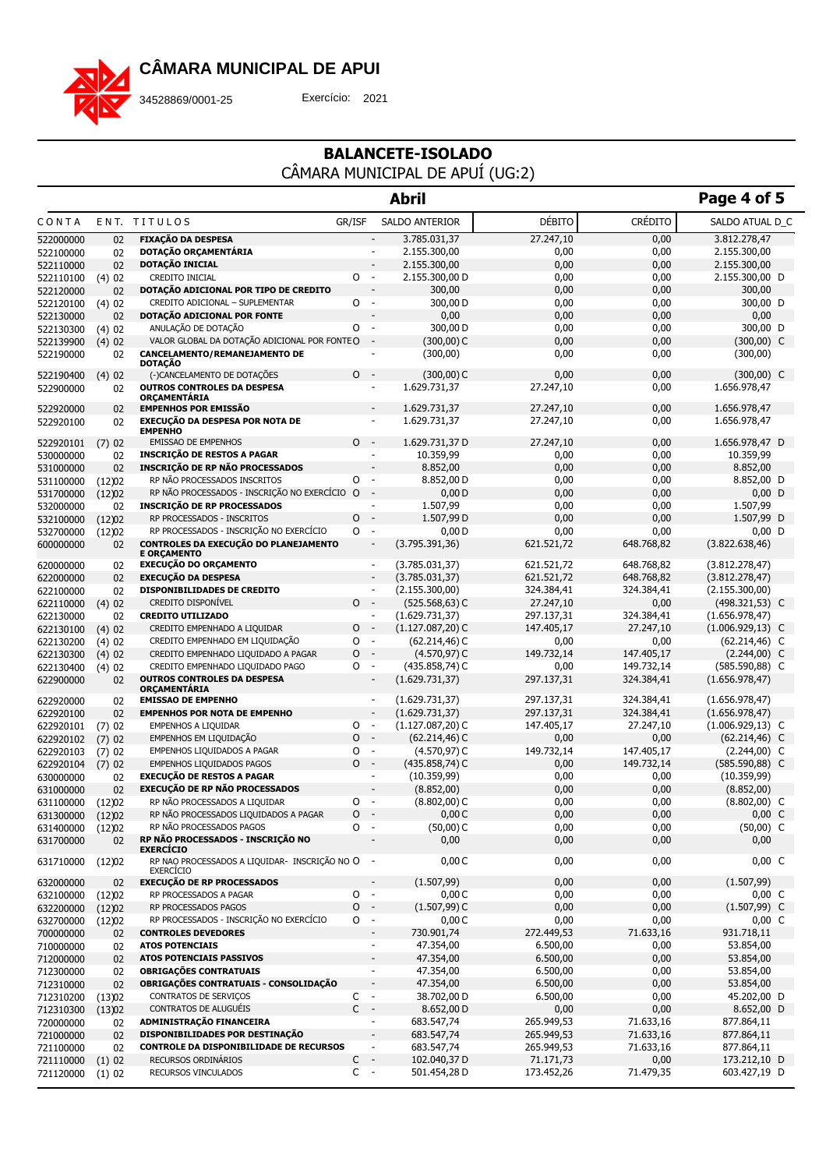

34528869/0001-25 Exercício: 2021

|                        |             |                                                                   |                               | <b>Abril</b>                                                                         |                   |                | Page 4 of 5                  |
|------------------------|-------------|-------------------------------------------------------------------|-------------------------------|--------------------------------------------------------------------------------------|-------------------|----------------|------------------------------|
| CONTA                  |             | ENT. TITULOS                                                      | GR/ISF                        | SALDO ANTERIOR                                                                       | DÉBITO            | <b>CRÉDITO</b> | SALDO ATUAL D_C              |
| 522000000              | 02          | <b>FIXAÇÃO DA DESPESA</b>                                         |                               | 3.785.031,37                                                                         | 27.247,10         | 0,00           | 3.812.278,47                 |
| 522100000              | 02          | DOTAÇÃO ORÇAMENTÁRIA                                              |                               | 2.155.300,00                                                                         | 0,00              | 0,00           | 2.155.300,00                 |
| 522110000              | 02          | DOTAÇÃO INICIAL                                                   |                               | 2.155.300,00<br>$\overline{\phantom{a}}$                                             | 0,00              | 0,00           | 2.155.300,00                 |
| 522110100              | (4)02       | CREDITO INICIAL                                                   | O<br>$\overline{\phantom{a}}$ | 2.155.300,00 D                                                                       | 0,00              | 0,00           | 2.155.300,00 D               |
| 522120000              | 02          | DOTAÇÃO ADICIONAL POR TIPO DE CREDITO                             |                               | 300,00                                                                               | 0,00              | 0,00           | 300,00                       |
| 522120100              | (4)02       | CREDITO ADICIONAL - SUPLEMENTAR                                   | 0                             | 300,00 D<br>$\overline{\phantom{a}}$                                                 | 0,00              | 0,00           | 300,00 D                     |
| 522130000              | 02          | DOTAÇÃO ADICIONAL POR FONTE                                       |                               | 0,00                                                                                 | 0,00              | 0,00           | 0,00                         |
| 522130300              | (4)02       | ANULAÇÃO DE DOTAÇÃO                                               | 0                             | 300,00 D<br>$\overline{\phantom{a}}$                                                 | 0,00              | 0,00           | 300,00 D                     |
| 522139900              | (4)02       | VALOR GLOBAL DA DOTAÇÃO ADICIONAL POR FONTE O                     |                               | $(300,00)$ C<br>$\overline{\phantom{a}}$                                             | 0,00              | 0,00           | $(300,00)$ C                 |
| 522190000              | 02          | CANCELAMENTO/REMANEJAMENTO DE<br><b>DOTAÇÃO</b>                   |                               | (300,00)<br>$\overline{a}$                                                           | 0,00              | 0,00           | (300,00)                     |
| 522190400<br>522900000 | (4)02<br>02 | (-)CANCELAMENTO DE DOTAÇÕES<br><b>OUTROS CONTROLES DA DESPESA</b> | 0                             | $(300,00)$ C<br>$\overline{\phantom{a}}$<br>1.629.731,37<br>$\overline{\phantom{a}}$ | 0,00<br>27.247,10 | 0,00<br>0,00   | $(300,00)$ C<br>1.656.978,47 |
|                        |             | <b>ORCAMENTARIA</b>                                               |                               |                                                                                      |                   |                |                              |
| 522920000              | 02          | <b>EMPENHOS POR EMISSÃO</b>                                       |                               | 1.629.731,37                                                                         | 27.247,10         | 0,00           | 1.656.978,47                 |
| 522920100              | 02          | EXECUÇÃO DA DESPESA POR NOTA DE<br><b>EMPENHO</b>                 |                               | 1.629.731,37<br>$\overline{\phantom{a}}$                                             | 27.247,10         | 0,00           | 1.656.978,47                 |
| 522920101              | (7)02       | <b>EMISSAO DE EMPENHOS</b>                                        | $\circ$<br>$\sim$ $-$         | 1.629.731,37 D                                                                       | 27.247,10         | 0,00           | 1.656.978,47 D               |
| 530000000              | 02          | <b>INSCRIÇÃO DE RESTOS A PAGAR</b>                                |                               | 10.359,99<br>$\overline{\phantom{a}}$                                                | 0,00              | 0,00           | 10.359,99                    |
| 531000000              | 02          | INSCRIÇÃO DE RP NÃO PROCESSADOS                                   |                               | 8.852,00                                                                             | 0,00              | 0,00           | 8.852,00                     |
| 531100000              | (12)02      | RP NÃO PROCESSADOS INSCRITOS                                      | 0                             | 8.852,00 D<br>$\overline{\phantom{a}}$                                               | 0,00              | 0,00           | 8.852,00 D                   |
| 531700000              | (12)02      | RP NÃO PROCESSADOS - INSCRIÇÃO NO EXERCÍCIO O                     |                               | 0,00D<br>$\overline{\phantom{a}}$                                                    | 0,00              | 0,00           | $0,00$ D                     |
| 532000000              | 02          | <b>INSCRIÇÃO DE RP PROCESSADOS</b>                                |                               | 1.507,99<br>÷,                                                                       | 0,00              | 0,00           | 1.507,99                     |
| 532100000              | (12)02      | RP PROCESSADOS - INSCRITOS                                        | $\mathsf{O}$                  | 1.507,99 D<br>$\overline{\phantom{a}}$                                               | 0,00              | 0,00           | 1.507,99 D                   |
| 532700000              | (12)02      | RP PROCESSADOS - INSCRIÇÃO NO EXERCÍCIO                           | O                             | 0,00D<br>$\overline{\phantom{a}}$                                                    | 0,00              | 0,00           | $0,00$ D                     |
| 600000000              | 02          | CONTROLES DA EXECUÇÃO DO PLANEJAMENTO<br><b>E ORÇAMENTO</b>       |                               | (3.795.391,36)<br>$\overline{\phantom{a}}$                                           | 621.521,72        | 648.768,82     | (3.822.638,46)               |
| 620000000              | 02          | <b>EXECUÇÃO DO ORÇAMENTO</b>                                      |                               | (3.785.031, 37)<br>$\overline{\phantom{a}}$                                          | 621.521,72        | 648.768,82     | (3.812.278, 47)              |
| 622000000              | 02          | <b>EXECUÇÃO DA DESPESA</b>                                        |                               | (3.785.031, 37)                                                                      | 621.521,72        | 648.768,82     | (3.812.278, 47)              |
| 622100000              | 02          | DISPONIBILIDADES DE CREDITO                                       |                               | (2.155.300,00)<br>$\overline{\phantom{a}}$                                           | 324.384,41        | 324.384,41     | (2.155.300,00)               |
| 622110000              | (4)02       | <b>CREDITO DISPONÍVEL</b>                                         | $\circ$<br>$\sim$ $-$         | $(525.568, 63)$ C                                                                    | 27.247,10         | 0,00           | $(498.321,53)$ C             |
| 622130000              | 02          | <b>CREDITO UTILIZADO</b>                                          |                               | (1.629.731,37)<br>$\overline{\phantom{a}}$                                           | 297.137,31        | 324.384,41     | (1.656.978, 47)              |
| 622130100              | (4)02       | CREDITO EMPENHADO A LIQUIDAR                                      | 0                             | $\overline{\phantom{a}}$<br>$(1.127.087,20)$ C                                       | 147.405,17        | 27.247,10      | $(1.006.929, 13)$ C          |
| 622130200              | (4)02       | CREDITO EMPENHADO EM LIQUIDAÇÃO                                   | 0                             | $\overline{\phantom{a}}$<br>$(62.214, 46)$ C                                         | 0,00              | 0,00           | $(62.214, 46)$ C             |
| 622130300              | (4)02       | CREDITO EMPENHADO LIQUIDADO A PAGAR                               | O                             | $(4.570, 97)$ C<br>$\overline{\phantom{a}}$                                          | 149.732,14        | 147.405,17     | $(2.244,00)$ C               |
| 622130400              | (4)02       | CREDITO EMPENHADO LIQUIDADO PAGO                                  | 0                             | $(435.858,74)$ C<br>$\overline{\phantom{a}}$                                         | 0,00              | 149.732,14     | $(585.590, 88)$ C            |
| 622900000              | 02          | <b>OUTROS CONTROLES DA DESPESA</b><br><b>ORÇAMENTARIA</b>         |                               | (1.629.731,37)<br>$\overline{\phantom{a}}$                                           | 297.137,31        | 324.384,41     | (1.656.978, 47)              |
| 622920000              | 02          | <b>EMISSAO DE EMPENHO</b>                                         |                               | (1.629.731, 37)<br>$\sim$                                                            | 297.137,31        | 324.384,41     | (1.656.978, 47)              |
| 622920100              | 02          | <b>EMPENHOS POR NOTA DE EMPENHO</b>                               |                               | (1.629.731,37)<br>$\overline{\phantom{a}}$                                           | 297.137,31        | 324.384,41     | (1.656.978, 47)              |
| 622920101              | (7)02       | EMPENHOS A LIQUIDAR                                               | O                             | $(1.127.087,20)$ C<br>$\overline{\phantom{a}}$                                       | 147.405,17        | 27.247,10      | $(1.006.929, 13)$ C          |
| 622920102              | (7)02       | EMPENHOS EM LIQUIDAÇÃO                                            | $\circ$                       | $\overline{\phantom{a}}$<br>$(62.214, 46)$ C                                         | 0,00              | 0,00           | $(62.214, 46)$ C             |
| 622920103              | (7)02       | EMPENHOS LIQUIDADOS A PAGAR                                       | 0                             | $(4.570, 97)$ C<br>$\overline{\phantom{a}}$                                          | 149.732,14        | 147.405,17     | $(2.244,00)$ C               |
| 622920104              | (7)02       | EMPENHOS LIQUIDADOS PAGOS                                         | $\circ$<br>$\sim$             | $(435.858,74)$ C                                                                     | 0,00              | 149.732,14     | $(585.590, 88)$ C            |
| 630000000              | 02          | <b>EXECUÇÃO DE RESTOS A PAGAR</b>                                 |                               | (10.359,99)                                                                          | 0,00              | 0,00           | (10.359,99)                  |
| 631000000              | 02          | <b>EXECUÇÃO DE RP NÃO PROCESSADOS</b>                             |                               | (8.852,00)                                                                           | 0,00              | 0,00           | (8.852,00)                   |
| 631100000              | (12)02      | RP NÃO PROCESSADOS A LIQUIDAR                                     | 0<br>$\sim$                   | $(8.802,00)$ C                                                                       | 0,00              | 0,00           | $(8.802,00)$ C               |
| 631300000 (12)02       |             | RP NÃO PROCESSADOS LIQUIDADOS A PAGAR                             | $\Omega$                      | 0,00C                                                                                | 0,00              | 0,00           | $0,00\,$ C                   |
| 631400000              | (12)02      | RP NÃO PROCESSADOS PAGOS                                          | 0<br>$\sim$ $-$               | $(50,00)$ C                                                                          | 0,00              | 0,00           | $(50,00)$ C                  |
| 631700000              | 02          | RP NÃO PROCESSADOS - INSCRIÇÃO NO<br><b>EXERCÍCIO</b>             |                               | 0,00                                                                                 | 0,00              | 0,00           | 0,00                         |
| 631710000              | (12)02      | RP NAO PROCESSADOS A LIQUIDAR- INSCRIÇÃO NO O<br><b>EXERCÍCIO</b> | $\overline{\phantom{a}}$      | 0,00C                                                                                | 0,00              | 0,00           | $0,00\,C$                    |
| 632000000              | 02          | <b>EXECUÇÃO DE RP PROCESSADOS</b>                                 |                               | (1.507, 99)                                                                          | 0,00              | 0,00           | (1.507, 99)                  |
| 632100000              | (12)02      | RP PROCESSADOS A PAGAR                                            | $0 -$                         | 0,00C                                                                                | 0,00              | 0,00           | $0,00\,C$                    |
| 632200000              | (12)02      | RP PROCESSADOS PAGOS                                              | 0                             | $(1.507, 99)$ C<br>$\sim$                                                            | 0,00              | 0,00           | $(1.507, 99)$ C              |
| 632700000              | (12)02      | RP PROCESSADOS - INSCRIÇÃO NO EXERCÍCIO                           | 0                             | 0,00 C<br>$\overline{\phantom{a}}$                                                   | 0,00              | 0,00           | $0,00\,C$                    |
| 700000000              | 02          | <b>CONTROLES DEVEDORES</b>                                        |                               | 730.901,74                                                                           | 272.449,53        | 71.633,16      | 931.718,11                   |
| 710000000              | 02          | <b>ATOS POTENCIAIS</b>                                            |                               | 47.354,00<br>$\blacksquare$                                                          | 6.500,00          | 0,00           | 53.854,00                    |
| 712000000              | 02          | ATOS POTENCIAIS PASSIVOS                                          |                               | 47.354,00                                                                            | 6.500,00          | 0,00           | 53.854,00                    |
| 712300000              | 02          | <b>OBRIGAÇÕES CONTRATUAIS</b>                                     |                               | 47.354,00<br>$\overline{\phantom{a}}$                                                | 6.500,00          | 0,00           | 53.854,00                    |
| 712310000              | 02          | OBRIGAÇÕES CONTRATUAIS - CONSOLIDAÇÃO                             |                               | 47.354,00<br>$\overline{\phantom{a}}$                                                | 6.500,00          | 0,00           | 53.854,00                    |
| 712310200              | (13)02      | CONTRATOS DE SERVICOS                                             | $C -$                         | 38.702,00 D                                                                          | 6.500,00          | 0,00           | 45.202,00 D                  |
| 712310300              | (13)02      | CONTRATOS DE ALUGUÉIS                                             | $C -$                         | 8.652,00 D                                                                           | 0,00              | 0,00           | 8.652,00 D                   |
| 720000000              | 02          | ADMINISTRAÇÃO FINANCEIRA                                          |                               | 683.547,74<br>$\overline{a}$                                                         | 265.949,53        | 71.633,16      | 877.864,11                   |
| 721000000              | 02          | DISPONIBILIDADES POR DESTINAÇÃO                                   |                               | 683.547,74                                                                           | 265.949,53        | 71.633,16      | 877.864,11                   |
| 721100000              | 02          | CONTROLE DA DISPONIBILIDADE DE RECURSOS                           |                               | 683.547,74<br>$\overline{\phantom{a}}$                                               | 265.949,53        | 71.633,16      | 877.864,11                   |
| 721110000              | (1)02       | RECURSOS ORDINÁRIOS                                               | С<br>$\sim$                   | 102.040,37 D                                                                         | 71.171,73         | 0,00           | 173.212,10 D                 |
| 721120000              | (1) 02      | RECURSOS VINCULADOS                                               | C<br>$\sim$                   | 501.454,28 D                                                                         | 173.452,26        | 71.479,35      | 603.427,19 D                 |